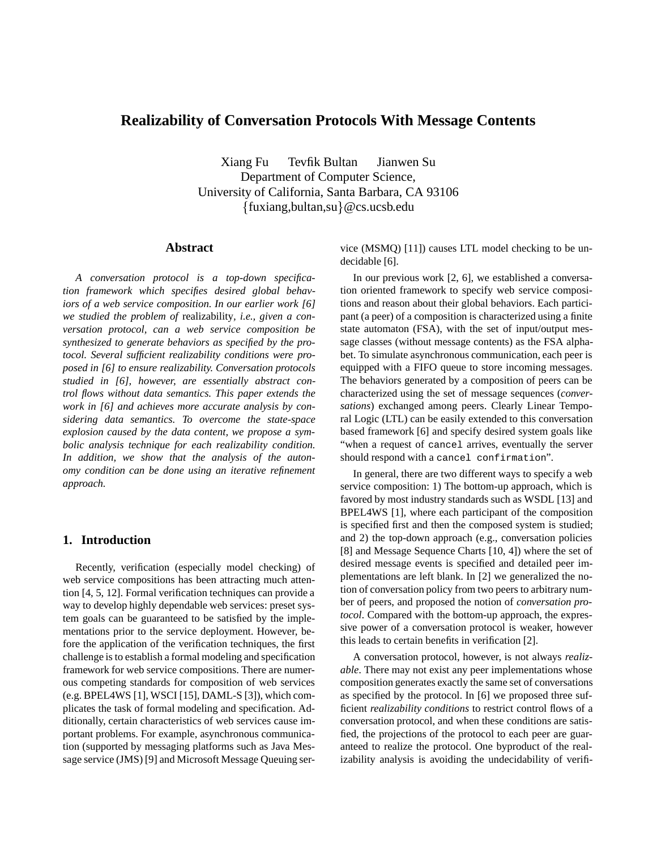# **Realizability of Conversation Protocols With Message Contents**

Xiang Fu Tevfik Bultan Jianwen Su Department of Computer Science, University of California, Santa Barbara, CA 93106  ${\text{fluxiang,bullet,su}}@cs.ucsb.edu$ 

# **Abstract**

*A conversation protocol is a top-down specification framework which specifies desired global behaviors of a web service composition. In our earlier work [6] we studied the problem of* realizability*, i.e., given a conversation protocol, can a web service composition be synthesized to generate behaviors as specified by the protocol. Several sufficient realizability conditions were proposed in [6] to ensure realizability. Conversation protocols studied in [6], however, are essentially abstract control flows without data semantics. This paper extends the work in [6] and achieves more accurate analysis by considering data semantics. To overcome the state-space explosion caused by the data content, we propose a symbolic analysis technique for each realizability condition. In addition, we show that the analysis of the autonomy condition can be done using an iterative refinement approach.*

# **1. Introduction**

Recently, verification (especially model checking) of web service compositions has been attracting much attention [4, 5, 12]. Formal verification techniques can provide a way to develop highly dependable web services: preset system goals can be guaranteed to be satisfied by the implementations prior to the service deployment. However, before the application of the verification techniques, the first challenge is to establish a formal modeling and specification framework for web service compositions. There are numerous competing standards for composition of web services (e.g. BPEL4WS [1], WSCI [15], DAML-S [3]), which complicates the task of formal modeling and specification. Additionally, certain characteristics of web services cause important problems. For example, asynchronous communication (supported by messaging platforms such as Java Message service (JMS) [9] and Microsoft Message Queuing service (MSMQ) [11]) causes LTL model checking to be undecidable [6].

In our previous work [2, 6], we established a conversation oriented framework to specify web service compositions and reason about their global behaviors. Each participant (a peer) of a composition is characterized using a finite state automaton (FSA), with the set of input/output message classes (without message contents) as the FSA alphabet. To simulate asynchronous communication, each peer is equipped with a FIFO queue to store incoming messages. The behaviors generated by a composition of peers can be characterized using the set of message sequences (*conversations*) exchanged among peers. Clearly Linear Temporal Logic (LTL) can be easily extended to this conversation based framework [6] and specify desired system goals like "when a request of cancel arrives, eventually the server should respond with a cancel confirmation".

In general, there are two different ways to specify a web service composition: 1) The bottom-up approach, which is favored by most industry standards such as WSDL [13] and BPEL4WS [1], where each participant of the composition is specified first and then the composed system is studied; and 2) the top-down approach (e.g., conversation policies [8] and Message Sequence Charts [10, 4]) where the set of desired message events is specified and detailed peer implementations are left blank. In [2] we generalized the notion of conversation policy from two peers to arbitrary number of peers, and proposed the notion of *conversation protocol*. Compared with the bottom-up approach, the expressive power of a conversation protocol is weaker, however this leads to certain benefits in verification [2].

A conversation protocol, however, is not always *realizable*. There may not exist any peer implementations whose composition generates exactly the same set of conversations as specified by the protocol. In [6] we proposed three sufficient *realizability conditions* to restrict control flows of a conversation protocol, and when these conditions are satisfied, the projections of the protocol to each peer are guaranteed to realize the protocol. One byproduct of the realizability analysis is avoiding the undecidability of verifi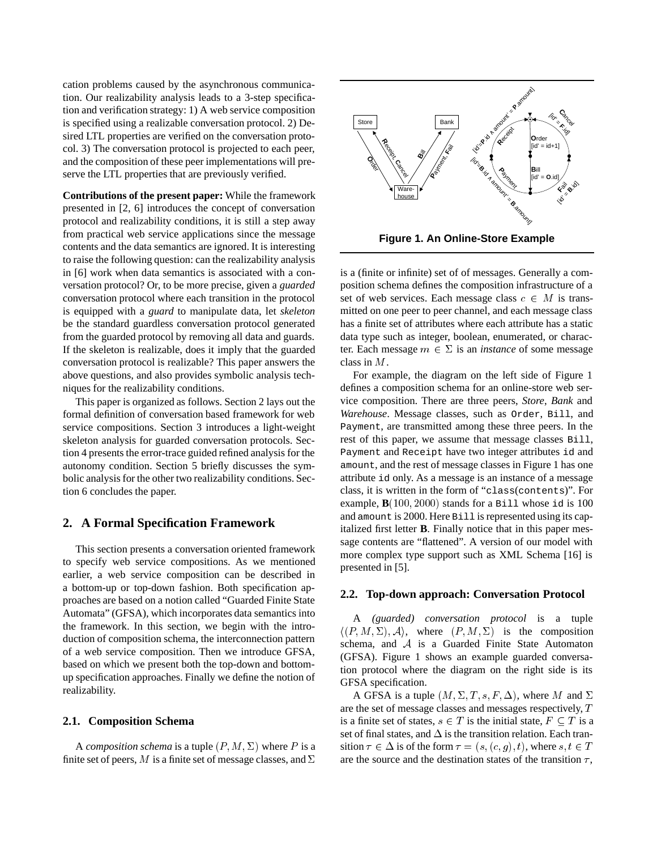cation problems caused by the asynchronous communication. Our realizability analysis leads to a 3-step specification and verification strategy: 1) A web service composition is specified using a realizable conversation protocol. 2) Desired LTL properties are verified on the conversation protocol. 3) The conversation protocol is projected to each peer, and the composition of these peer implementations will preserve the LTL properties that are previously verified.

**Contributions of the present paper:** While the framework presented in [2, 6] introduces the concept of conversation protocol and realizability conditions, it is still a step away from practical web service applications since the message contents and the data semantics are ignored. It is interesting to raise the following question: can the realizability analysis in [6] work when data semantics is associated with a conversation protocol? Or, to be more precise, given a *guarded* conversation protocol where each transition in the protocol is equipped with a *guard* to manipulate data, let *skeleton* be the standard guardless conversation protocol generated from the guarded protocol by removing all data and guards. If the skeleton is realizable, does it imply that the guarded conversation protocol is realizable? This paper answers the above questions, and also provides symbolic analysis techniques for the realizability conditions.

This paper is organized as follows. Section 2 lays out the formal definition of conversation based framework for web service compositions. Section 3 introduces a light-weight skeleton analysis for guarded conversation protocols. Section 4 presents the error-trace guided refined analysis for the autonomy condition. Section 5 briefly discusses the symbolic analysis for the other two realizability conditions. Section 6 concludes the paper.

### **2. A Formal Specification Framework**

This section presents a conversation oriented framework to specify web service compositions. As we mentioned earlier, a web service composition can be described in a bottom-up or top-down fashion. Both specification approaches are based on a notion called "Guarded Finite State Automata" (GFSA), which incorporates data semantics into the framework. In this section, we begin with the introduction of composition schema, the interconnection pattern of a web service composition. Then we introduce GFSA, based on which we present both the top-down and bottomup specification approaches. Finally we define the notion of realizability.

### **2.1. Composition Schema**

A *composition schema* is a tuple  $(P, M, \Sigma)$  where P is a finite set of peers, M is a finite set of message classes, and  $\Sigma$ 



is a (finite or infinite) set of of messages. Generally a composition schema defines the composition infrastructure of a set of web services. Each message class  $c \in M$  is transmitted on one peer to peer channel, and each message class has a finite set of attributes where each attribute has a static data type such as integer, boolean, enumerated, or character. Each message  $m \in \Sigma$  is an *instance* of some message class in M.

For example, the diagram on the left side of Figure 1 defines a composition schema for an online-store web service composition. There are three peers, *Store*, *Bank* and *Warehouse*. Message classes, such as Order, Bill, and Payment, are transmitted among these three peers. In the rest of this paper, we assume that message classes Bill, Payment and Receipt have two integer attributes id and amount, and the rest of message classes in Figure 1 has one attribute id only. As a message is an instance of a message class, it is written in the form of "class(contents)". For example,  $\mathbf{B}(100, 2000)$  stands for a Bill whose id is 100 and amount is 2000. Here Bill is represented using its capitalized first letter **B**. Finally notice that in this paper message contents are "flattened". A version of our model with more complex type support such as XML Schema [16] is presented in [5].

#### **2.2. Top-down approach: Conversation Protocol**

A *(guarded) conversation protocol* is a tuple  $\langle (P, M, \Sigma), \mathcal{A} \rangle$ , where  $(P, M, \Sigma)$  is the composition schema, and <sup>A</sup> is a Guarded Finite State Automaton (GFSA). Figure 1 shows an example guarded conversation protocol where the diagram on the right side is its GFSA specification.

A GFSA is a tuple  $(M, \Sigma, T, s, F, \Delta)$ , where M and  $\Sigma$ are the set of message classes and messages respectively, T is a finite set of states,  $s \in T$  is the initial state,  $F \subseteq T$  is a set of final states, and  $\Delta$  is the transition relation. Each transition  $\tau \in \Delta$  is of the form  $\tau = (s, (c, g), t)$ , where  $s, t \in T$ are the source and the destination states of the transition  $\tau$ ,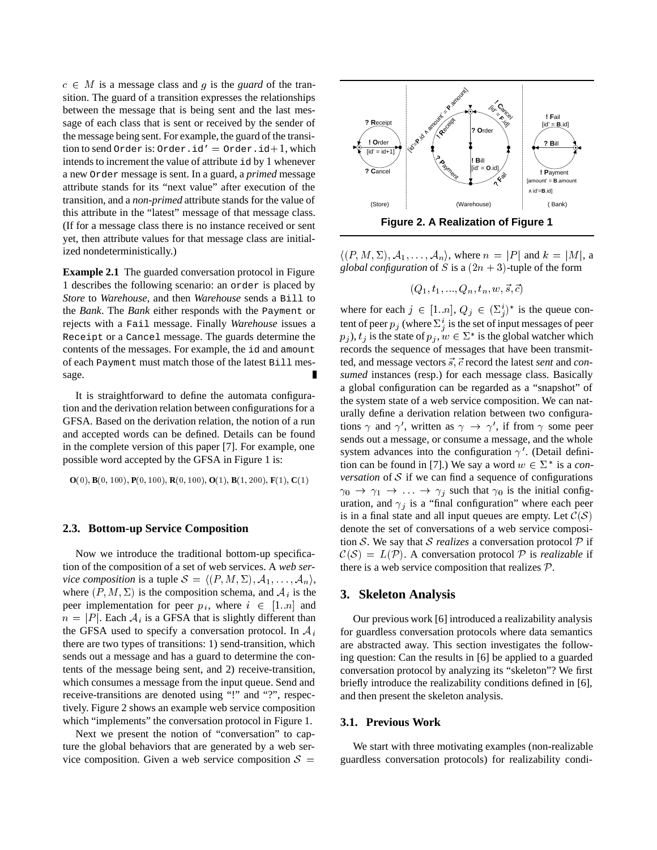$c \in M$  is a message class and q is the *guard* of the transition. The guard of a transition expresses the relationships between the message that is being sent and the last message of each class that is sent or received by the sender of the message being sent. For example, the guard of the transition to send Order is: Order.id' = Order.id+1, which intends to increment the value of attribute id by 1 whenever a new Order message is sent. In a guard, a *primed* message attribute stands for its "next value" after execution of the transition, and a *non-primed* attribute stands for the value of this attribute in the "latest" message of that message class. (If for a message class there is no instance received or sent yet, then attribute values for that message class are initialized nondeterministically.)

**Example 2.1** The guarded conversation protocol in Figure 1 describes the following scenario: an order is placed by *Store* to *Warehouse*, and then *Warehouse* sends a Bill to the *Bank*. The *Bank* either responds with the Payment or rejects with a Fail message. Finally *Warehouse* issues a Receipt or a Cancel message. The guards determine the contents of the messages. For example, the id and amount of each Payment must match those of the latest Bill message.

It is straightforward to define the automata configuration and the derivation relation between configurations for a GFSA. Based on the derivation relation, the notion of a run and accepted words can be defined. Details can be found in the complete version of this paper [7]. For example, one possible word accepted by the GFSA in Figure 1 is:

$$
O(0), B(0,100), P(0,100), R(0,100), O(1), B(1,200), F(1), C(1)
$$

# **2.3. Bottom-up Service Composition**

Now we introduce the traditional bottom-up specification of the composition of a set of web services. A *web service composition* is a tuple  $S = \langle (P, M, \Sigma), A_1, \ldots, A_n \rangle$ , where  $(P, M, \Sigma)$  is the composition schema, and  $A_i$  is the peer implementation for peer  $p_i$ , where  $i \in [1..n]$  and  $n = |P|$ . Each  $A_i$  is a GFSA that is slightly different than the GFSA used to specify a conversation protocol. In  $A_i$ there are two types of transitions: 1) send-transition, which sends out a message and has a guard to determine the contents of the message being sent, and 2) receive-transition, which consumes a message from the input queue. Send and receive-transitions are denoted using "!" and "?", respectively. Figure 2 shows an example web service composition which "implements" the conversation protocol in Figure 1.

Next we present the notion of "conversation" to capture the global behaviors that are generated by a web service composition. Given a web service composition  $S =$ 



 $\langle (P, M, \Sigma), \mathcal{A}_1, \ldots, \mathcal{A}_n \rangle$ , where  $n = |P|$  and  $k = |M|$ , a *global configuration* of S is a  $(2n + 3)$ -tuple of the form

$$
(Q_1,t_1,...,Q_n,t_n,w,\vec{s},\vec{c})
$$

where for each  $j \in [1..n], Q_j \in (\Sigma_i^i)^*$  is the queue content of peer  $p_j$  (where  $\Sigma^i_j$  is the set of input messages of peer  $p_j$ ),  $t_j$  is the state of  $p_j, w \in \Sigma^*$  is the global watcher which records the sequence of messages that have been transmitted, and message vectors  $\vec{s}$ ,  $\vec{c}$  record the latest *sent* and *consumed* instances (resp.) for each message class. Basically a global configuration can be regarded as a "snapshot" of the system state of a web service composition. We can naturally define a derivation relation between two configurations  $\gamma$  and  $\gamma'$ , written as  $\gamma \rightarrow \gamma'$ , if from  $\gamma$  some peer sends out a message, or consume a message, and the whole system advances into the configuration  $\gamma'$ . (Detail definition can be found in [7].) We say a word  $w \in \Sigma^*$  is a *conversation* of  $S$  if we can find a sequence of configurations  $\gamma_0 \rightarrow \gamma_1 \rightarrow \ldots \rightarrow \gamma_j$  such that  $\gamma_0$  is the initial configuration, and  $\gamma_i$  is a "final configuration" where each peer is in a final state and all input queues are empty. Let  $\mathcal{C}(\mathcal{S})$ denote the set of conversations of a web service composition S. We say that S *realizes* a conversation protocol  $P$  if  $C(S) = L(\mathcal{P})$ . A conversation protocol  $\mathcal P$  is *realizable* if there is a web service composition that realizes  $P$ .

# **3. Skeleton Analysis**

Our previous work [6] introduced a realizability analysis for guardless conversation protocols where data semantics are abstracted away. This section investigates the following question: Can the results in [6] be applied to a guarded conversation protocol by analyzing its "skeleton"? We first briefly introduce the realizability conditions defined in [6], and then present the skeleton analysis.

#### **3.1. Previous Work**

We start with three motivating examples (non-realizable guardless conversation protocols) for realizability condi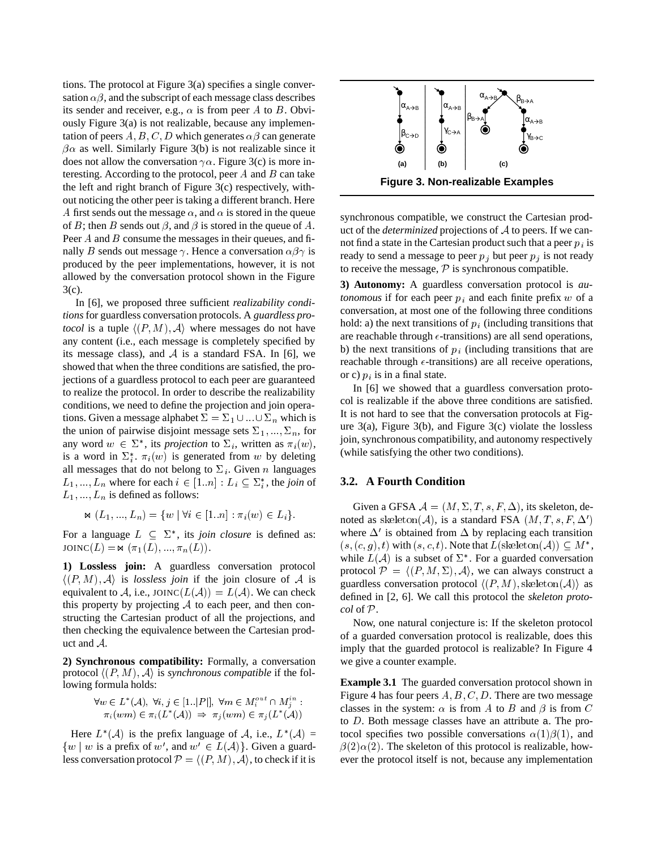tions. The protocol at Figure 3(a) specifies a single conversation  $\alpha\beta$ , and the subscript of each message class describes its sender and receiver, e.g.,  $\alpha$  is from peer A to B. Obviously Figure 3(a) is not realizable, because any implementation of peers  $A, B, C, D$  which generates  $\alpha\beta$  can generate  $\beta \alpha$  as well. Similarly Figure 3(b) is not realizable since it does not allow the conversation  $\gamma \alpha$ . Figure 3(c) is more interesting. According to the protocol, peer  $A$  and  $B$  can take the left and right branch of Figure 3(c) respectively, without noticing the other peer is taking a different branch. Here A first sends out the message  $\alpha$ , and  $\alpha$  is stored in the queue of B; then B sends out  $\beta$ , and  $\beta$  is stored in the queue of A. Peer  $A$  and  $B$  consume the messages in their queues, and finally B sends out message  $\gamma$ . Hence a conversation  $\alpha\beta\gamma$  is produced by the peer implementations, however, it is not allowed by the conversation protocol shown in the Figure 3(c).

In [6], we proposed three sufficient *realizability conditions* for guardless conversation protocols. A *guardless protocol* is a tuple  $\langle (P, M), \mathcal{A} \rangle$  where messages do not have any content (i.e., each message is completely specified by its message class), and  $A$  is a standard FSA. In [6], we showed that when the three conditions are satisfied, the projections of a guardless protocol to each peer are guaranteed to realize the protocol. In order to describe the realizability conditions, we need to define the projection and join operations. Given a message alphabet  $\Sigma = \Sigma_1 \cup ... \cup \Sigma_n$  which is the union of pairwise disjoint message sets  $\Sigma_1, ..., \Sigma_n$ , for any word  $w \in \Sigma^*$ , its *projection* to  $\Sigma_i$ , written as  $\pi_i(w)$ , is a word in  $\Sigma_i^*$ .  $\pi_i(w)$  is generated from w by deleting all messages that do not belong to  $\Sigma_i$ . Given n languages  $L_1, ..., L_n$  where for each  $i \in [1..n] : L_i \subseteq \sum_i^*$ , the *join* of  $L_1, ..., L_n$  is defined as follows:

$$
\Join(L_1, ..., L_n) = \{w \mid \forall i \in [1..n] : \pi_i(w) \in L_i\}.
$$

For a language  $L \subseteq \Sigma^*$ , its *join closure* is defined as: JOINC(L) =  $\bowtie (\pi_1(L), ..., \pi_n(L)).$ 

**1) Lossless join:** A guardless conversation protocol  $\langle (P, M), A \rangle$  is *lossless join* if the join closure of A is equivalent to A, i.e., JOINC( $L(A)$ ) =  $L(A)$ . We can check this property by projecting  $A$  to each peer, and then constructing the Cartesian product of all the projections, and then checking the equivalence between the Cartesian product and <sup>A</sup>.

**2) Synchronous compatibility:** Formally, a conversation protocol  $\langle (P,M), \mathcal{A} \rangle$  is *synchronous compatible* if the following formula holds:

$$
\forall w \in L^*(A), \ \forall i, j \in [1..|P|], \ \forall m \in M_i^{out} \cap M_j^{in} : \pi_i(wm) \in \pi_i(L^*(A)) \ \Rightarrow \ \pi_j(wm) \in \pi_j(L^*(A))
$$

Here  $L^*(A)$  is the prefix language of A, i.e.,  $L^*(A) =$  $\{w \mid w$  is a prefix of w', and  $w' \in L(\mathcal{A})\}$ . Given a guardless conversation protocol  $\mathcal{P} = \langle (P,M), \mathcal{A} \rangle$ , to check if it is



synchronous compatible, we construct the Cartesian product of the *determinized* projections of <sup>A</sup> to peers. If we cannot find a state in the Cartesian product such that a peer  $p_i$  is ready to send a message to peer  $p_j$  but peer  $p_j$  is not ready to receive the message,  $P$  is synchronous compatible.

**3) Autonomy:** A guardless conversation protocol is *autonomous* if for each peer  $p_i$  and each finite prefix w of a conversation, at most one of the following three conditions hold: a) the next transitions of  $p_i$  (including transitions that are reachable through  $\epsilon$ -transitions) are all send operations, b) the next transitions of  $p_i$  (including transitions that are reachable through  $\epsilon$ -transitions) are all receive operations, or c)  $p_i$  is in a final state.

In [6] we showed that a guardless conversation protocol is realizable if the above three conditions are satisfied. It is not hard to see that the conversation protocols at Figure 3(a), Figure 3(b), and Figure 3(c) violate the lossless join, synchronous compatibility, and autonomy respectively (while satisfying the other two conditions).

### **3.2. A Fourth Condition**

Given a GFSA  $A = (M, \Sigma, T, s, F, \Delta)$ , its skeleton, denoted as skeleton(A), is a standard FSA  $(M, T, s, F, \Delta')$ where  $\Delta'$  is obtained from  $\Delta$  by replacing each transition  $(s, (c, g), t)$  with  $(s, c, t)$ . Note that  $L(\text{skeleton}(\mathcal{A})) \subseteq M^*$ , while  $L(\mathcal{A})$  is a subset of  $\Sigma^*$ . For a guarded conversation protocol  $\mathcal{P} = \langle (P,M,\Sigma), \mathcal{A} \rangle$ , we can always construct a guardless conversation protocol  $\langle (P,M), \text{skeleton}(\mathcal{A})\rangle$  as defined in [2, 6]. We call this protocol the *skeleton protocol* of <sup>P</sup>.

Now, one natural conjecture is: If the skeleton protocol of a guarded conversation protocol is realizable, does this imply that the guarded protocol is realizable? In Figure 4 we give a counter example.

**Example 3.1** The guarded conversation protocol shown in Figure 4 has four peers  $A, B, C, D$ . There are two message classes in the system:  $\alpha$  is from A to B and  $\beta$  is from C to D. Both message classes have an attribute a. The protocol specifies two possible conversations  $\alpha(1)\beta(1)$ , and  $\beta(2)\alpha(2)$ . The skeleton of this protocol is realizable, however the protocol itself is not, because any implementation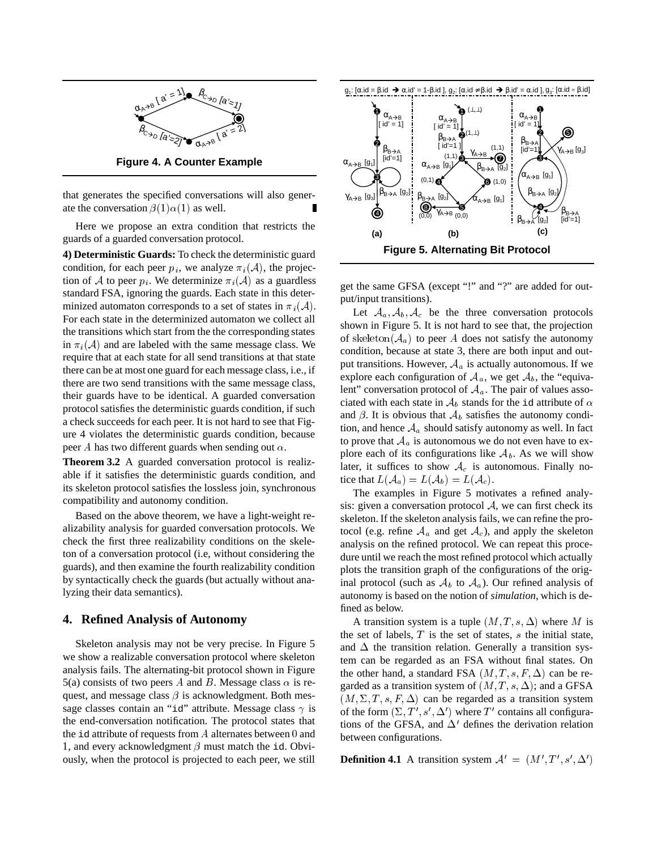

**Figure 4. A Counter Example**

that generates the specified conversations will also generate the conversation  $\beta(1)\alpha(1)$  as well.

Here we propose an extra condition that restricts the guards of a guarded conversation protocol.

**4) Deterministic Guards:** To check the deterministic guard condition, for each peer  $p_i$ , we analyze  $\pi_i(\mathcal{A})$ , the projection of A to peer  $p_i$ . We determinize  $\pi_i(\mathcal{A})$  as a guardless standard FSA, ignoring the guards. Each state in this determinized automaton corresponds to a set of states in  $\pi_i(\mathcal{A})$ . For each state in the determinized automaton we collect all the transitions which start from the the corresponding states in  $\pi_i(\mathcal{A})$  and are labeled with the same message class. We require that at each state for all send transitions at that state there can be at most one guard for each message class, i.e., if there are two send transitions with the same message class, their guards have to be identical. A guarded conversation protocol satisfies the deterministic guards condition, if such a check succeeds for each peer. It is not hard to see that Figure 4 violates the deterministic guards condition, because peer A has two different guards when sending out  $\alpha$ .

**Theorem 3.2** A guarded conversation protocol is realizable if it satisfies the deterministic guards condition, and its skeleton protocol satisfies the lossless join, synchronous compatibility and autonomy condition.

Based on the above theorem, we have a light-weight realizability analysis for guarded conversation protocols. We check the first three realizability conditions on the skeleton of a conversation protocol (i.e, without considering the guards), and then examine the fourth realizability condition by syntactically check the guards (but actually without analyzing their data semantics).

# **4. Refined Analysis of Autonomy**

Skeleton analysis may not be very precise. In Figure 5 we show a realizable conversation protocol where skeleton analysis fails. The alternating-bit protocol shown in Figure 5(a) consists of two peers A and B. Message class  $\alpha$  is request, and message class  $\beta$  is acknowledgment. Both message classes contain an "id" attribute. Message class  $\gamma$  is the end-conversation notification. The protocol states that the id attribute of requests from  $A$  alternates between  $0$  and 1, and every acknowledgment  $\beta$  must match the id. Obviously, when the protocol is projected to each peer, we still



get the same GFSA (except "!" and "?" are added for output/input transitions).

Let  $A_a$ ,  $A_b$ ,  $A_c$  be the three conversation protocols shown in Figure 5. It is not hard to see that, the projection of skeleton( $A_a$ ) to peer A does not satisfy the autonomy condition, because at state 3, there are both input and output transitions. However,  $A_a$  is actually autonomous. If we explore each configuration of  $A_a$ , we get  $A_b$ , the "equivalent" conversation protocol of  $A_a$ . The pair of values associated with each state in  $A_b$  stands for the id attribute of  $\alpha$ and  $\beta$ . It is obvious that  $\mathcal{A}_b$  satisfies the autonomy condition, and hence  $A_a$  should satisfy autonomy as well. In fact to prove that  $A_a$  is autonomous we do not even have to explore each of its configurations like  $A_b$ . As we will show later, it suffices to show  $A_c$  is autonomous. Finally notice that  $L(A_a) = L(A_b) = L(A_c)$ .

The examples in Figure 5 motivates a refined analysis: given a conversation protocol  $A$ , we can first check its skeleton. If the skeleton analysis fails, we can refine the protocol (e.g. refine  $A_a$  and get  $A_c$ ), and apply the skeleton analysis on the refined protocol. We can repeat this procedure until we reach the most refined protocol which actually plots the transition graph of the configurations of the original protocol (such as  $A_b$  to  $A_a$ ). Our refined analysis of autonomy is based on the notion of *simulation*, which is defined as below.

A transition system is a tuple  $(M, T, s, \Delta)$  where M is the set of labels,  $T$  is the set of states,  $s$  the initial state, and  $\Delta$  the transition relation. Generally a transition system can be regarded as an FSA without final states. On the other hand, a standard FSA  $(M, T, s, F, \Delta)$  can be regarded as a transition system of  $(M, T, s, \Delta)$ ; and a GFSA  $(M, \Sigma, T, s, F, \Delta)$  can be regarded as a transition system of the form  $(\Sigma, T', s', \Delta')$  where T' contains all configurations of the GFSA, and  $\Delta'$  defines the derivation relation between configurations.

**Definition 4.1** A transition system  $A' = (M', T', s', \Delta')$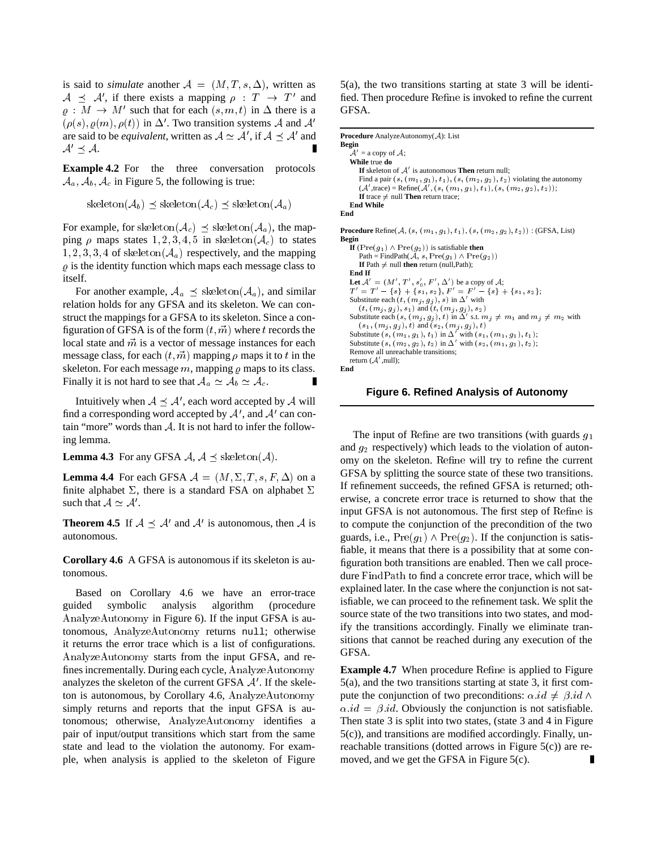is said to *simulate* another  $A = (M, T, s, \Delta)$ , written as  $A \preceq A'$ , if there exists a mapping  $\rho : T \to T'$  and fied  $\rho: M \to M'$  such that for each  $(s, m, t)$  in  $\Delta$  there is a  $(\rho(s), \rho(m), \rho(t))$  in  $\Delta'$ . Two transition systems A and A' are said to be *equivalent*, written as  $A \simeq A'$ , if  $A \preceq A'$  and  $A' \prec A$ .

**Example 4.2** For the three conversation protocols  $A_a$ ,  $A_b$ ,  $A_c$  in Figure 5, the following is true:

skeleton $(\mathcal{A}_b) \preceq$  skeleton $(\mathcal{A}_c) \preceq$  skeleton $(\mathcal{A}_a)$ 

For example, for skeleton( $A_c$ )  $\preceq$  skeleton( $A_a$ ), the mapping  $\rho$  maps states 1, 2, 3, 4, 5 in skeleton( $A_c$ ) to states  $1, 2, 3, 3, 4$  of skeleton( $A_a$ ) respectively, and the mapping  $\rho$  is the identity function which maps each message class to itself.

For another example,  $A_a \preceq$  skeleton( $A_a$ ), and similar relation holds for any GFSA and its skeleton. We can construct the mappings for a GFSA to its skeleton. Since a configuration of GFSA is of the form  $(t, \vec{m})$  where t records the local state and  $\vec{m}$  is a vector of message instances for each message class, for each  $(t, \vec{m})$  mapping  $\rho$  maps it to t in the skeleton. For each message  $m$ , mapping  $\rho$  maps to its class. Finally it is not hard to see that  $A_a \simeq A_b \simeq A_c$ .

Intuitively when AA<sup>0</sup> , each word accepted by <sup>A</sup> will find a corresponding word accepted by  $A'$ , and  $A'$  can contain "more" words than  $A$ . It is not hard to infer the following lemma.

**Lemma 4.3** For any GFSA  $A$ ,  $A \preceq$  skeleton( $A$ ).

**Lemma 4.4** For each GFSA  $A = (M, \Sigma, T, s, F, \Delta)$  on a finite alphabet  $\Sigma$ , there is a standard FSA on alphabet  $\Sigma$ such that  $A \simeq A'$ .

**Theorem 4.5** If  $A \preceq A'$  and  $A'$  is autonomous, then A is to com autonomous.

**Corollary 4.6** A GFSA is autonomous if its skeleton is autonomous.

Based on Corollary 4.6 we have an error-trace guided symbolic analysis algorithm (procedure AnalyzeAutonomy in Figure 6). If the input GFSA is autonomous, AnalyzeAutonomy returns null; otherwise it returns the error trace which is a list of configurations. AnalyzeAutonomy starts from the input GFSA, and refines incrementally. During each cycle, AnalyzeAutonomy analyzes the skeleton of the current GFSA  $A'$ . If the skeleton is autonomous, by Corollary 4.6, AnalyzeAutonomy simply returns and reports that the input GFSA is autonomous; otherwise, AnalyzeAutonomy identifies a pair of input/output transitions which start from the same state and lead to the violation the autonomy. For example, when analysis is applied to the skeleton of Figure 5(a), the two transitions starting at state 3 will be identified. Then procedure Refine is invoked to refine the current GFSA.

```
Procedure AnalyzeAutonomy(A): List
Begin
    \mathcal{A}' = a copy of \mathcal{A};
    While true do
        If skeleton of A' is autonomous Then return null;
       Find a pair (s,(m_1,g_1),t_1),(s,(m_2,g_2),t_2) violating the autonomy
        (A',\text{trace}) = \text{Refine}(A', (s, (m_1, g_1), t_1), (s, (m_2, g_2), t_2));If trace \neq null Then return trace:
   End While
End
Procedure Refine(A, (s, (m_1, g_1), t_1), (s, (m_2, g_2), t_2)) : (GFSA, List)
Begin
   If (\text{Pre}(g_1) \wedge \text{Pre}(g_2)) is satisfiable then
       Path = FindPath(A, s, \text{Pre}(g_1) \wedge \text{Pre}(g_2))If Path \neq null then return (null,Path);
   End If
   Let \mathcal{A}' = (M', T', s_0', F', \Delta') be a copy of \mathcal{A};T' = T' - \{s\} + \{s_1, s_2\}, F' = F' - \{s\} + \{s_1, s_2\};Substitute each (t, (m_j, g_j), s) in \Delta' with (t, (m_j, g_j), s_1) and (t, (m_j, g_j), s_2)Substitute each (s, (m_i, g_j), t) in \Delta' s.t. m_j \neq m_1 and m_j \neq m_2 with
    (s_1, (m_j, g_j), t) and (s_2, (m_j, g_j), t)<br>Substitute (s, (m_1, g_1), t_1) in \Delta' with (s_1, (m_1, g_1), t_1);
    Substitute (s, (m_2, g_2), t_2) in \Delta' with (s_2, (m_1, g_1), t_2);<br>Remove all unreachable transitions;
    return (A', null);
End
```
**Figure 6. Refined Analysis of Autonomy**

The input of Refine are two transitions (with guards  $g_1$ ) and  $g_2$  respectively) which leads to the violation of autonomy on the skeleton. Refine will try to refine the current GFSA by splitting the source state of these two transitions. If refinement succeeds, the refined GFSA is returned; otherwise, a concrete error trace is returned to show that the input GFSA is not autonomous. The first step of Refine is to compute the conjunction of the precondition of the two guards, i.e.,  $Pre(g_1) \wedge Pre(g_2)$ . If the conjunction is satisfiable, it means that there is a possibility that at some configuration both transitions are enabled. Then we call procedure FindPath to find a concrete error trace, which will be explained later. In the case where the conjunction is not satisfiable, we can proceed to the refinement task. We split the source state of the two transitions into two states, and modify the transitions accordingly. Finally we eliminate transitions that cannot be reached during any execution of the GFSA.

**Example 4.7** When procedure Refine is applied to Figure 5(a), and the two transitions starting at state 3, it first compute the conjunction of two preconditions:  $\alpha$  id  $\neq \beta$  id  $\wedge$  $\alpha$  *id* =  $\beta$  *id*. Obviously the conjunction is not satisfiable. Then state 3 is split into two states, (state 3 and 4 in Figure 5(c)), and transitions are modified accordingly. Finally, unreachable transitions (dotted arrows in Figure 5(c)) are removed, and we get the GFSA in Figure 5(c).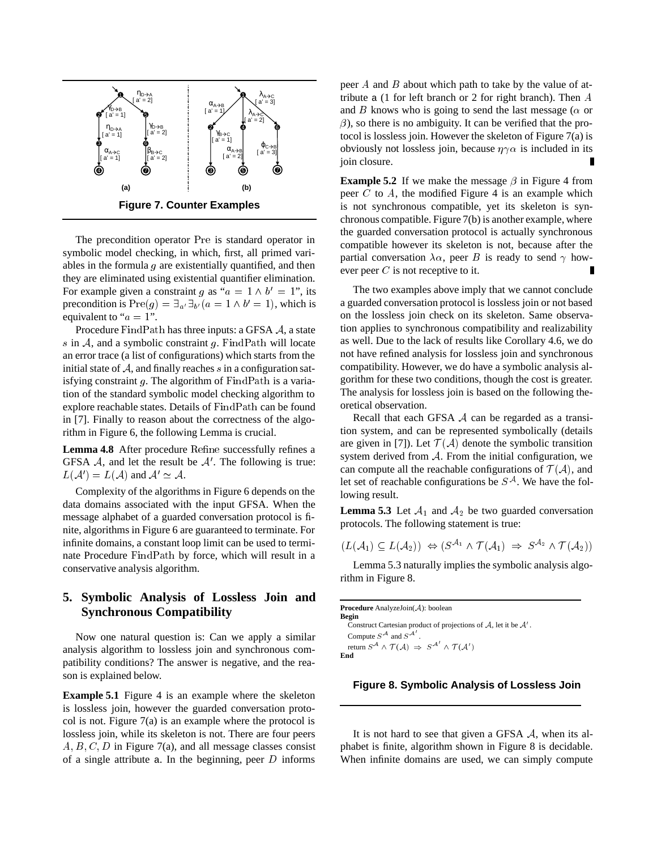

The precondition operator Pre is standard operator in symbolic model checking, in which, first, all primed variables in the formula  $g$  are existentially quantified, and then they are eliminated using existential quantifier elimination. For example given a constraint g as " $a = 1 \wedge b' = 1$ ", its precondition is  $Pre(g) = \exists_{a'} \exists_{b'} (a = 1 \land b' = 1)$ , which is equivalent to " $a = 1$ ".

Procedure FindPath has three inputs: a GFSA <sup>A</sup>, a state s in  $A$ , and a symbolic constraint  $g$ . FindPath will locate an error trace (a list of configurations) which starts from the initial state of  $A$ , and finally reaches s in a configuration satisfying constraint  $g$ . The algorithm of FindPath is a variation of the standard symbolic model checking algorithm to explore reachable states. Details of FindPath can be found in [7]. Finally to reason about the correctness of the algorithm in Figure 6, the following Lemma is crucial.

**Lemma 4.8** After procedure Refine successfully refines a GFSA  $\mathcal{A}$ , and let the result be  $\mathcal{A}'$ . The following is true:  $L(\mathcal{A}') = L(\mathcal{A})$  and  $\mathcal{A}' \simeq \mathcal{A}$ .

Complexity of the algorithms in Figure 6 depends on the data domains associated with the input GFSA. When the message alphabet of a guarded conversation protocol is finite, algorithms in Figure 6 are guaranteed to terminate. For infinite domains, a constant loop limit can be used to terminate Procedure FindPath by force, which will result in a conservative analysis algorithm.

# **5. Symbolic Analysis of Lossless Join and Synchronous Compatibility**

Now one natural question is: Can we apply a similar analysis algorithm to lossless join and synchronous compatibility conditions? The answer is negative, and the reason is explained below.

**Example 5.1** Figure 4 is an example where the skeleton is lossless join, however the guarded conversation protocol is not. Figure 7(a) is an example where the protocol is lossless join, while its skeleton is not. There are four peers  $A, B, C, D$  in Figure 7(a), and all message classes consist of a single attribute a. In the beginning, peer  $D$  informs

peer  $A$  and  $B$  about which path to take by the value of attribute a (1 for left branch or 2 for right branch). Then A and B knows who is going to send the last message ( $\alpha$  or  $\beta$ ), so there is no ambiguity. It can be verified that the protocol is lossless join. However the skeleton of Figure 7(a) is obviously not lossless join, because  $\eta \gamma \alpha$  is included in its join closure.

**Example 5.2** If we make the message  $\beta$  in Figure 4 from peer  $C$  to  $A$ , the modified Figure 4 is an example which is not synchronous compatible, yet its skeleton is synchronous compatible. Figure 7(b) is another example, where the guarded conversation protocol is actually synchronous compatible however its skeleton is not, because after the partial conversation  $\lambda \alpha$ , peer B is ready to send  $\gamma$  however peer  $C$  is not receptive to it.

The two examples above imply that we cannot conclude a guarded conversation protocol is lossless join or not based on the lossless join check on its skeleton. Same observation applies to synchronous compatibility and realizability as well. Due to the lack of results like Corollary 4.6, we do not have refined analysis for lossless join and synchronous compatibility. However, we do have a symbolic analysis algorithm for these two conditions, though the cost is greater. The analysis for lossless join is based on the following theoretical observation.

Recall that each GFSA  $A$  can be regarded as a transition system, and can be represented symbolically (details are given in [7]). Let  $\mathcal{T}(\mathcal{A})$  denote the symbolic transition system derived from  $A$ . From the initial configuration, we can compute all the reachable configurations of  $\mathcal{T}(\mathcal{A})$ , and let set of reachable configurations be  $S^{\mathcal{A}}$ . We have the following result.

**Lemma 5.3** Let  $A_1$  and  $A_2$  be two guarded conversation protocols. The following statement is true:

$$
(L(\mathcal{A}_1) \subseteq L(\mathcal{A}_2)) \Leftrightarrow (S^{\mathcal{A}_1} \wedge \mathcal{T}(\mathcal{A}_1) \Rightarrow S^{\mathcal{A}_2} \wedge \mathcal{T}(\mathcal{A}_2))
$$

Lemma 5.3 naturally implies the symbolic analysis algorithm in Figure 8.

| <b>Procedure</b> AnalyzeJoin( $A$ ): boolean                                                                           |
|------------------------------------------------------------------------------------------------------------------------|
| Begin                                                                                                                  |
| Construct Cartesian product of projections of A, let it be $A'$ .                                                      |
| Compute $S^{\mathcal{A}}$ and $S^{\mathcal{A}'}$ .                                                                     |
| return $S^{\mathcal{A}} \wedge \mathcal{T}(\mathcal{A}) \Rightarrow S^{\mathcal{A}'} \wedge \mathcal{T}(\mathcal{A}')$ |
| End                                                                                                                    |

# **Figure 8. Symbolic Analysis of Lossless Join**

It is not hard to see that given a GFSA <sup>A</sup>, when its alphabet is finite, algorithm shown in Figure 8 is decidable. When infinite domains are used, we can simply compute